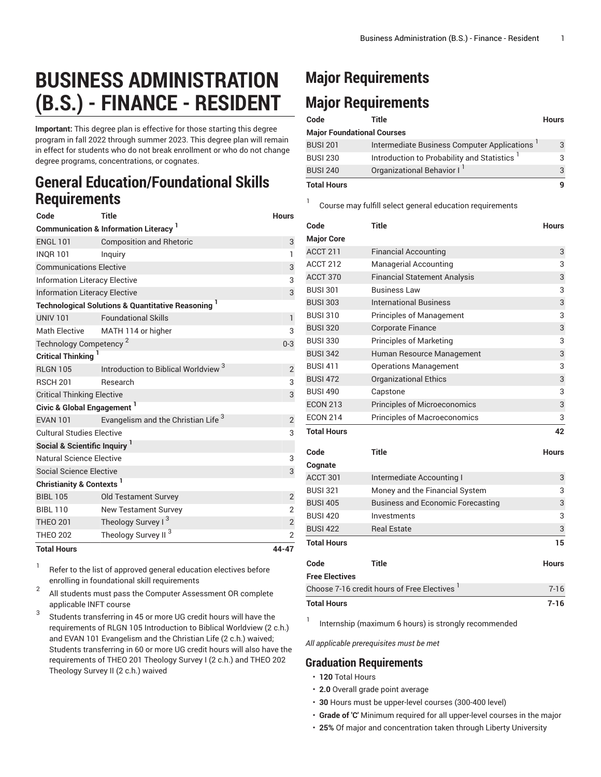## **BUSINESS ADMINISTRATION (B.S.) - FINANCE - RESIDENT**

**Important:** This degree plan is effective for those starting this degree program in fall 2022 through summer 2023. This degree plan will remain in effect for students who do not break enrollment or who do not change degree programs, concentrations, or cognates.

## **General Education/Foundational Skills Requirements**

| Code                                            | <b>Title</b>                                                             | <b>Hours</b>   |  |  |
|-------------------------------------------------|--------------------------------------------------------------------------|----------------|--|--|
| <b>Communication &amp; Information Literacy</b> |                                                                          |                |  |  |
| <b>ENGL 101</b>                                 | <b>Composition and Rhetoric</b>                                          | 3              |  |  |
| <b>INOR 101</b>                                 | Inguiry                                                                  | 1              |  |  |
| <b>Communications Elective</b>                  | 3                                                                        |                |  |  |
| <b>Information Literacy Elective</b>            | 3                                                                        |                |  |  |
| <b>Information Literacy Elective</b>            | 3                                                                        |                |  |  |
|                                                 | <b>Technological Solutions &amp; Quantitative Reasoning</b> <sup>1</sup> |                |  |  |
| <b>UNIV 101</b>                                 | <b>Foundational Skills</b>                                               | $\mathbf{1}$   |  |  |
| <b>Math Elective</b>                            | MATH 114 or higher                                                       | 3              |  |  |
| Technology Competency <sup>2</sup>              | $0 - 3$                                                                  |                |  |  |
| Critical Thinking                               |                                                                          |                |  |  |
| <b>RLGN 105</b>                                 | Introduction to Biblical Worldview <sup>3</sup>                          | $\overline{2}$ |  |  |
| <b>RSCH 201</b>                                 | Research                                                                 | 3              |  |  |
| <b>Critical Thinking Elective</b>               | 3                                                                        |                |  |  |
| Civic & Global Engagement <sup>1</sup>          |                                                                          |                |  |  |
| <b>EVAN 101</b>                                 | Evangelism and the Christian Life <sup>3</sup>                           | $\overline{2}$ |  |  |
| <b>Cultural Studies Elective</b>                | 3                                                                        |                |  |  |
| Social & Scientific Inquiry <sup>1</sup>        |                                                                          |                |  |  |
| Natural Science Elective                        | 3                                                                        |                |  |  |
| <b>Social Science Elective</b>                  |                                                                          | 3              |  |  |
| Christianity & Contexts <sup>1</sup>            |                                                                          |                |  |  |
| <b>BIBL 105</b>                                 | <b>Old Testament Survey</b>                                              | $\overline{2}$ |  |  |
| <b>BIBL 110</b>                                 | <b>New Testament Survey</b>                                              | $\overline{2}$ |  |  |
| <b>THEO 201</b>                                 | Theology Survey I <sup>3</sup>                                           | $\overline{2}$ |  |  |
| <b>THEO 202</b>                                 | Theology Survey II <sup>3</sup>                                          | $\overline{2}$ |  |  |
| <b>Total Hours</b>                              |                                                                          | 44-47          |  |  |

1 Refer to the list of approved general [education](https://www.liberty.edu/gened/) electives before enrolling in foundational skill requirements

2 All students must pass the [Computer Assessment](https://www.liberty.edu/computerassessment/) OR complete applicable INFT course

3 Students transferring in 45 or more UG credit hours will have the requirements of RLGN 105 Introduction to Biblical Worldview (2 c.h.) and EVAN 101 Evangelism and the Christian Life (2 c.h.) waived; Students transferring in 60 or more UG credit hours will also have the requirements of THEO 201 Theology Survey I (2 c.h.) and THEO 202 Theology Survey II (2 c.h.) waived

## **Major Requirements Major Requirements**

1

| Code                              | Title                                                   | <b>Hours</b> |
|-----------------------------------|---------------------------------------------------------|--------------|
| <b>Major Foundational Courses</b> |                                                         |              |
| <b>BUSI 201</b>                   | Intermediate Business Computer Applications '           | 3            |
| <b>BUSI 230</b>                   | Introduction to Probability and Statistics <sup>1</sup> | 3            |
| <b>BUSI 240</b>                   | Organizational Behavior I                               | 3            |
| <b>Total Hours</b>                |                                                         |              |

Course may fulfill select general education [requirements](http://www.liberty.edu/academics/generalstudies/?PID=37563)

| Code                  | <b>Title</b>                                            | <b>Hours</b> |
|-----------------------|---------------------------------------------------------|--------------|
| <b>Major Core</b>     |                                                         |              |
| ACCT 211              | <b>Financial Accounting</b>                             | 3            |
| ACCT 212              | <b>Managerial Accounting</b>                            | 3            |
| ACCT 370              | <b>Financial Statement Analysis</b>                     | 3            |
| <b>BUSI 301</b>       | <b>Business Law</b>                                     | 3            |
| <b>BUSI 303</b>       | <b>International Business</b>                           | 3            |
| <b>BUSI 310</b>       | <b>Principles of Management</b>                         | 3            |
| <b>BUSI 320</b>       | <b>Corporate Finance</b>                                | 3            |
| <b>BUSI 330</b>       | <b>Principles of Marketing</b>                          | 3            |
| <b>BUSI 342</b>       | Human Resource Management                               | 3            |
| <b>BUSI 411</b>       | <b>Operations Management</b>                            | 3            |
| <b>BUSI 472</b>       | <b>Organizational Ethics</b>                            | 3            |
| <b>BUSI 490</b>       | Capstone                                                | 3            |
| <b>ECON 213</b>       | <b>Principles of Microeconomics</b>                     | 3            |
| <b>ECON 214</b>       | <b>Principles of Macroeconomics</b>                     | 3            |
| <b>Total Hours</b>    |                                                         | 42           |
| Code                  | <b>Title</b>                                            | <b>Hours</b> |
| Cognate               |                                                         |              |
| ACCT 301              | Intermediate Accounting I                               | 3            |
| <b>BUSI 321</b>       | Money and the Financial System                          | 3            |
| <b>BUSI 405</b>       | <b>Business and Economic Forecasting</b>                | 3            |
| <b>BUSI 420</b>       | Investments                                             | 3            |
| <b>BUSI 422</b>       | <b>Real Estate</b>                                      | 3            |
| <b>Total Hours</b>    |                                                         | 15           |
| Code                  | <b>Title</b>                                            | <b>Hours</b> |
| <b>Free Electives</b> |                                                         |              |
|                       | Choose 7-16 credit hours of Free Electives <sup>1</sup> |              |
| <b>Total Hours</b>    |                                                         | $7 - 16$     |

Internship (maximum 6 hours) is strongly recommended

*All applicable prerequisites must be met*

## **Graduation Requirements**

• **120** Total Hours

1

- **2.0** Overall grade point average
- **30** Hours must be upper-level courses (300-400 level)
- **Grade of 'C'** Minimum required for all upper-level courses in the major
- **25%** Of major and concentration taken through Liberty University